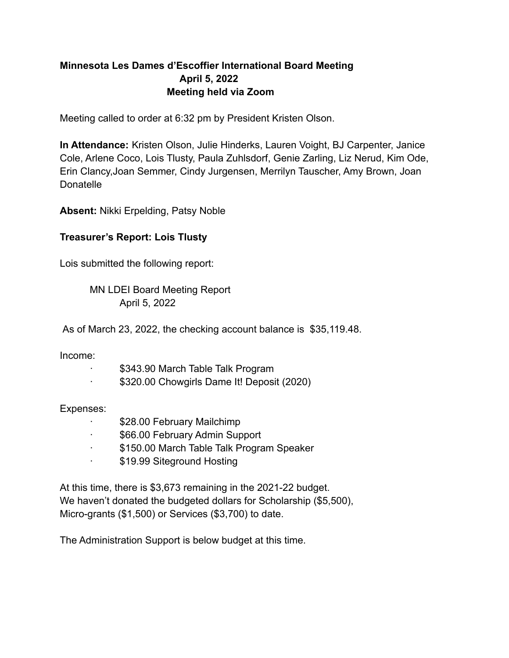# **Minnesota Les Dames d'Escoffier International Board Meeting April 5, 2022 Meeting held via Zoom**

Meeting called to order at 6:32 pm by President Kristen Olson.

**In Attendance:** Kristen Olson, Julie Hinderks, Lauren Voight, BJ Carpenter, Janice Cole, Arlene Coco, Lois Tlusty, Paula Zuhlsdorf, Genie Zarling, Liz Nerud, Kim Ode, Erin Clancy,Joan Semmer, Cindy Jurgensen, Merrilyn Tauscher, Amy Brown, Joan Donatelle

**Absent:** Nikki Erpelding, Patsy Noble

### **Treasurer's Report: Lois Tlusty**

Lois submitted the following report:

MN LDEI Board Meeting Report April 5, 2022

As of March 23, 2022, the checking account balance is \$35,119.48.

Income:

- · \$343.90 March Table Talk Program
- · \$320.00 Chowgirls Dame It! Deposit (2020)

#### Expenses:

- · \$28.00 February Mailchimp
- · \$66.00 February Admin Support
- · \$150.00 March Table Talk Program Speaker
- · \$19.99 Siteground Hosting

At this time, there is \$3,673 remaining in the 2021-22 budget. We haven't donated the budgeted dollars for Scholarship (\$5,500), Micro-grants (\$1,500) or Services (\$3,700) to date.

The Administration Support is below budget at this time.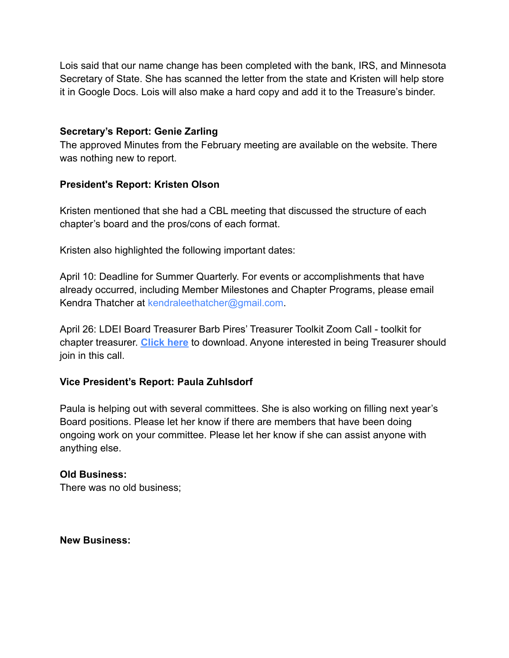Lois said that our name change has been completed with the bank, IRS, and Minnesota Secretary of State. She has scanned the letter from the state and Kristen will help store it in Google Docs. Lois will also make a hard copy and add it to the Treasure's binder.

#### **Secretary's Report: Genie Zarling**

The approved Minutes from the February meeting are available on the website. There was nothing new to report.

### **President's Report: Kristen Olson**

Kristen mentioned that she had a CBL meeting that discussed the structure of each chapter's board and the pros/cons of each format.

Kristen also highlighted the following important dates:

April 10: Deadline for Summer Quarterly. For events or accomplishments that have already occurred, including Member Milestones and Chapter Programs, please email Kendra Thatcher at kendraleethatcher@gmail.com.

April 26: LDEI Board Treasurer Barb Pires' Treasurer Toolkit Zoom Call - toolkit for chapter treasurer. **[Click here](https://s3.amazonaws.com/amo_hub_content/Association117/files/treasurer%20tool%20kit%204_28_21.xlsx)** to download. Anyone interested in being Treasurer should join in this call.

### **Vice President's Report: Paula Zuhlsdorf**

Paula is helping out with several committees. She is also working on filling next year's Board positions. Please let her know if there are members that have been doing ongoing work on your committee. Please let her know if she can assist anyone with anything else.

### **Old Business:**

There was no old business;

**New Business:**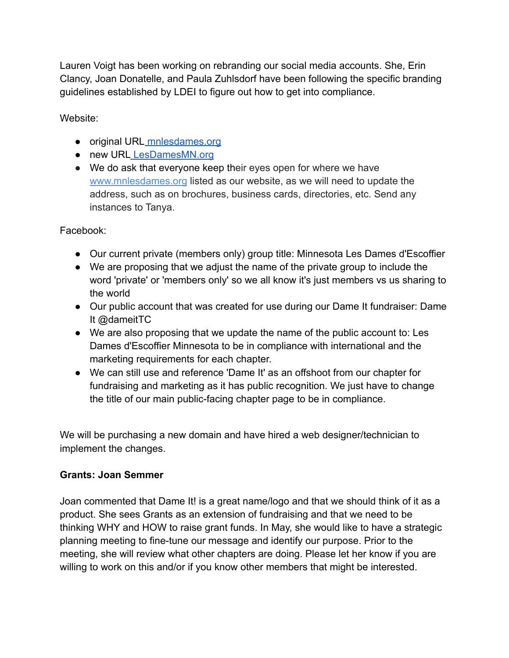Lauren Voigt has been working on rebranding our social media accounts. She, Erin Clancy, Joan Donatelle, and Paula Zuhlsdorf have been following the specific branding guidelines established by LDEI to figure out how to get into compliance.

Website:

- original URL [mnlesdames.org](https://mnlesdames.org/)
- new URL [LesDamesMN.org](http://lesdamesmn.org/)
- We do ask that everyone keep their eyes open for where we have [www.mnlesdames.org](http://www.mnlesdames.org/) listed as our website, as we will need to update the address, such as on brochures, business cards, directories, etc. Send any instances to Tanya.

Facebook:

- Our current private (members only) group title: Minnesota Les Dames d'Escoffier
- We are proposing that we adjust the name of the private group to include the word 'private' or 'members only' so we all know it's just members vs us sharing to the world
- Our public account that was created for use during our Dame It fundraiser: Dame It @dameitTC
- We are also proposing that we update the name of the public account to: Les Dames d'Escoffier Minnesota to be in compliance with international and the marketing requirements for each chapter.
- We can still use and reference 'Dame It' as an offshoot from our chapter for fundraising and marketing as it has public recognition. We just have to change the title of our main public-facing chapter page to be in compliance.

We will be purchasing a new domain and have hired a web designer/technician to implement the changes.

### **Grants: Joan Semmer**

Joan commented that Dame It! is a great name/logo and that we should think of it as a product. She sees Grants as an extension of fundraising and that we need to be thinking WHY and HOW to raise grant funds. In May, she would like to have a strategic planning meeting to fine-tune our message and identify our purpose. Prior to the meeting, she will review what other chapters are doing. Please let her know if you are willing to work on this and/or if you know other members that might be interested.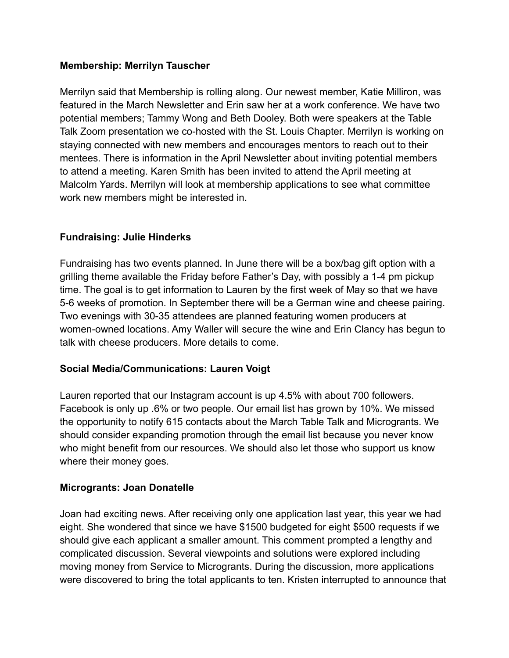### **Membership: Merrilyn Tauscher**

Merrilyn said that Membership is rolling along. Our newest member, Katie Milliron, was featured in the March Newsletter and Erin saw her at a work conference. We have two potential members; Tammy Wong and Beth Dooley. Both were speakers at the Table Talk Zoom presentation we co-hosted with the St. Louis Chapter. Merrilyn is working on staying connected with new members and encourages mentors to reach out to their mentees. There is information in the April Newsletter about inviting potential members to attend a meeting. Karen Smith has been invited to attend the April meeting at Malcolm Yards. Merrilyn will look at membership applications to see what committee work new members might be interested in.

# **Fundraising: Julie Hinderks**

Fundraising has two events planned. In June there will be a box/bag gift option with a grilling theme available the Friday before Father's Day, with possibly a 1-4 pm pickup time. The goal is to get information to Lauren by the first week of May so that we have 5-6 weeks of promotion. In September there will be a German wine and cheese pairing. Two evenings with 30-35 attendees are planned featuring women producers at women-owned locations. Amy Waller will secure the wine and Erin Clancy has begun to talk with cheese producers. More details to come.

### **Social Media/Communications: Lauren Voigt**

Lauren reported that our Instagram account is up 4.5% with about 700 followers. Facebook is only up .6% or two people. Our email list has grown by 10%. We missed the opportunity to notify 615 contacts about the March Table Talk and Microgrants. We should consider expanding promotion through the email list because you never know who might benefit from our resources. We should also let those who support us know where their money goes.

### **Microgrants: Joan Donatelle**

Joan had exciting news. After receiving only one application last year, this year we had eight. She wondered that since we have \$1500 budgeted for eight \$500 requests if we should give each applicant a smaller amount. This comment prompted a lengthy and complicated discussion. Several viewpoints and solutions were explored including moving money from Service to Microgrants. During the discussion, more applications were discovered to bring the total applicants to ten. Kristen interrupted to announce that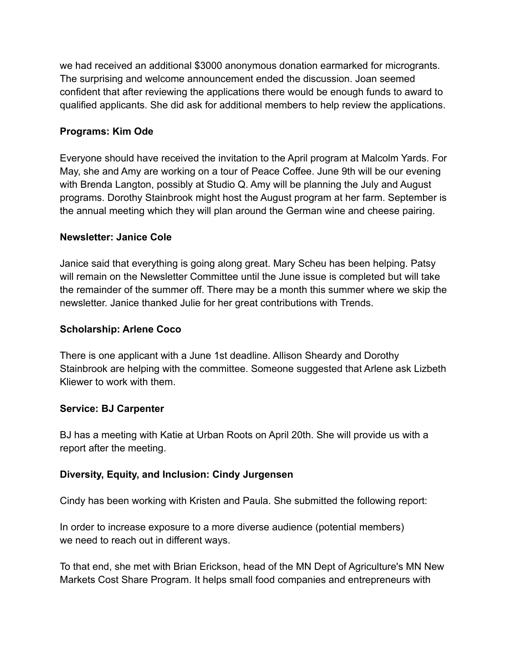we had received an additional \$3000 anonymous donation earmarked for microgrants. The surprising and welcome announcement ended the discussion. Joan seemed confident that after reviewing the applications there would be enough funds to award to qualified applicants. She did ask for additional members to help review the applications.

# **Programs: Kim Ode**

Everyone should have received the invitation to the April program at Malcolm Yards. For May, she and Amy are working on a tour of Peace Coffee. June 9th will be our evening with Brenda Langton, possibly at Studio Q. Amy will be planning the July and August programs. Dorothy Stainbrook might host the August program at her farm. September is the annual meeting which they will plan around the German wine and cheese pairing.

#### **Newsletter: Janice Cole**

Janice said that everything is going along great. Mary Scheu has been helping. Patsy will remain on the Newsletter Committee until the June issue is completed but will take the remainder of the summer off. There may be a month this summer where we skip the newsletter. Janice thanked Julie for her great contributions with Trends.

### **Scholarship: Arlene Coco**

There is one applicant with a June 1st deadline. Allison Sheardy and Dorothy Stainbrook are helping with the committee. Someone suggested that Arlene ask Lizbeth Kliewer to work with them.

### **Service: BJ Carpenter**

BJ has a meeting with Katie at Urban Roots on April 20th. She will provide us with a report after the meeting.

### **Diversity, Equity, and Inclusion: Cindy Jurgensen**

Cindy has been working with Kristen and Paula. She submitted the following report:

In order to increase exposure to a more diverse audience (potential members) we need to reach out in different ways.

To that end, she met with Brian Erickson, head of the MN Dept of Agriculture's MN New Markets Cost Share Program. It helps small food companies and entrepreneurs with